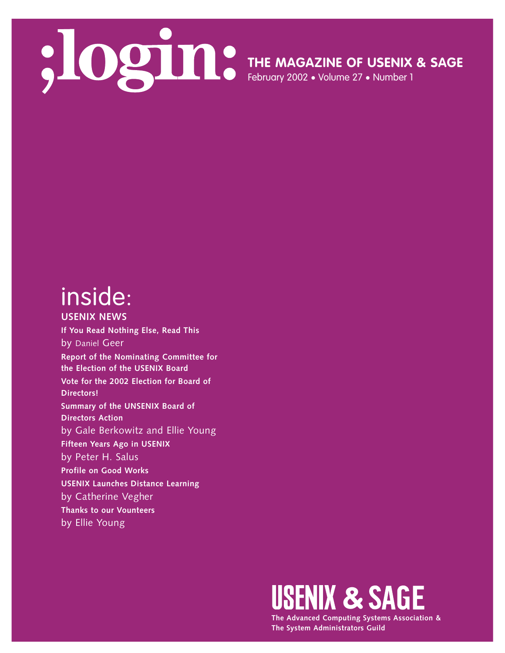

**THE MAGAZINE OF USENIX & SAGE**

February 2002 • Volume 27 • Number 1

# inside:

**USENIX NEWS If You Read Nothing Else, Read This** by Daniel Geer **Report of the Nominating Committee for the Election of the USENIX Board Vote for the 2002 Election for Board of Directors! Summary of the UNSENIX Board of Directors Action** by Gale Berkowitz and Ellie Young **Fifteen Years Ago in USENIX** by Peter H. Salus **Profile on Good Works USENIX Launches Distance Learning** by Catherine Vegher **Thanks to our Vounteers** by Ellie Young



**The Advanced Computing Systems Association & The System Administrators Guild**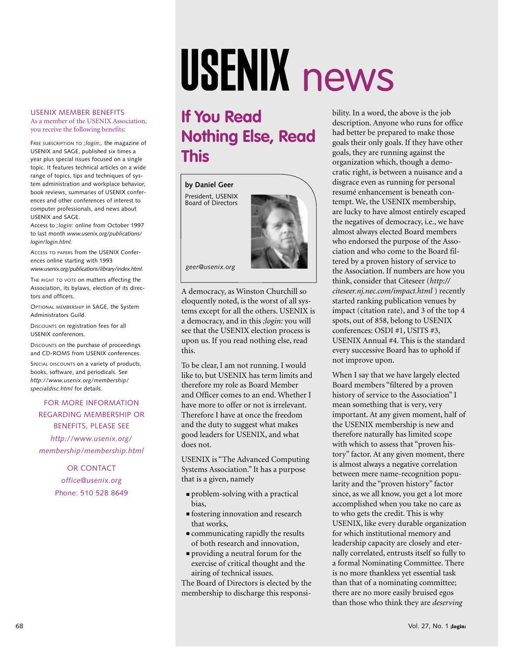## USENIX MEMBER BENEFITS

### As a member of the USENIX Association, you receive the following benefits:

FREE SUBSCRIPTION TO *;login:,* the magazine of USENIX and SAGE, published six times a year plus special issues focused on a single topic. It features technical articles on a wide range of topics, tips and techniques of system administration and workplace behavior, book reviews, summaries of USENIX conferences and other conferences of interest to computer professionals, and news about USENIX and SAGE.

Access to *;login:* online from October 1997 to last month *www.usenix.org/publications/ login/login.html.*

ACCESS TO PAPERS from the USENIX Conferences online starting with 1993 *www.usenix.org/publications/library/index.html*.

THE RIGHT TO VOTE on matters affecting the Association, its bylaws, election of its directors and officers.

OPTIONAL MEMBERSHIP in SAGE, the System Administrators Guild.

DISCOUNTS on registration fees for all USENIX conferences.

DISCOUNTS on the purchase of proceedings and CD-ROMS from USENIX conferences.

SPECIAL DISCOUNTS on a variety of products, books, software, and periodicals. See *http://www.usenix.org/membership/ specialdisc.html* for details.

# FOR MORE INFORMATION REGARDING MEMBERSHIP OR BENEFITS, PLEASE SEE

*http://www.usenix.org/ membership/membership.html*

> OR CONTACT *office@usenix.org* Phone: 510 528 8649

# USENIX news

# **If You Read Nothing Else, Read This**

## **by Daniel Geer**

President, USENIX Board of Directors



*geer@usenix.org*

A democracy, as Winston Churchill so eloquently noted, is the worst of all systems except for all the others. USENIX is a democracy, and in this *;login:* you will see that the USENIX election process is upon us. If you read nothing else, read this.

To be clear, I am not running. I would like to, but USENIX has term limits and therefore my role as Board Member and Officer comes to an end. Whether I have more to offer or not is irrelevant. Therefore I have at once the freedom and the duty to suggest what makes good leaders for USENIX, and what does not.

USENIX is "The Advanced Computing Systems Association." It has a purpose that is a given, namely

- problem-solving with a practical bias,
- fostering innovation and research that works,
- communicating rapidly the results of both research and innovation,
- providing a neutral forum for the exercise of critical thought and the airing of technical issues.

The Board of Directors is elected by the membership to discharge this responsibility. In a word, the above is the job description. Anyone who runs for office had better be prepared to make those goals their only goals. If they have other goals, they are running against the organization which, though a democratic right, is between a nuisance and a disgrace even as running for personal resumé enhancement is beneath contempt. We, the USENIX membership, are lucky to have almost entirely escaped the negatives of democracy, i.e., we have almost always elected Board members who endorsed the purpose of the Association and who come to the Board filtered by a proven history of service to the Association. If numbers are how you think, consider that Citeseer (*<http://> citeseer.nj.nec.com/impact.html* ) recently started ranking publication venues by impact (citation rate), and 3 of the top 4 spots, out of 858, belong to USENIX conferences: OSDI #1, USITS #3, USENIX Annual #4. This is the standard every successive Board has to uphold if not improve upon.

When I say that we have largely elected Board members "filtered by a proven history of service to the Association" I mean something that is very, very important. At any given moment, half of the USENIX membership is new and therefore naturally has limited scope with which to assess that "proven history" factor. At any given moment, there is almost always a negative correlation between mere name-recognition popularity and the "proven history" factor since, as we all know, you get a lot more accomplished when you take no care as to who gets the credit. This is why USENIX, like every durable organization for which institutional memory and leadership capacity are closely and eternally correlated, entrusts itself so fully to a formal Nominating Committee. There is no more thankless yet essential task than that of a nominating committee; there are no more easily bruised egos than those who think they are *deserving*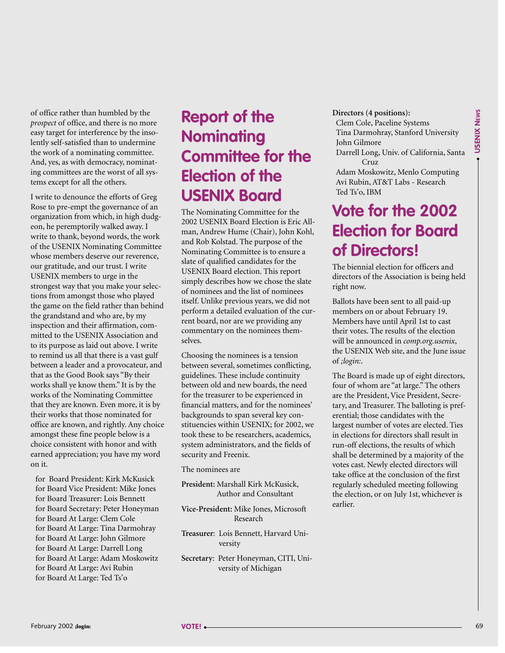of office rather than humbled by the *prospect* of office, and there is no more easy target for interference by the insolently self-satisfied than to undermine the work of a nominating committee. And, yes, as with democracy, nominating committees are the worst of all systems except for all the others.

I write to denounce the efforts of Greg Rose to pre-empt the governance of an organization from which, in high dudgeon, he peremptorily walked away. I write to thank, beyond words, the work of the USENIX Nominating Committee whose members deserve our reverence, our gratitude, and our trust. I write USENIX members to urge in the strongest way that you make your selections from amongst those who played the game on the field rather than behind the grandstand and who are, by my inspection and their affirmation, committed to the USENIX Association and to its purpose as laid out above. I write to remind us all that there is a vast gulf between a leader and a provocateur, and that as the Good Book says "By their works shall ye know them." It is by the works of the Nominating Committee that they are known. Even more, it is by their works that those nominated for office are known, and rightly. Any choice amongst these fine people below is a choice consistent with honor and with earned appreciation; you have my word on it.

for Board President: Kirk McKusick for Board Vice President: Mike Jones for Board Treasurer: Lois Bennett for Board Secretary: Peter Honeyman for Board At Large: Clem Cole for Board At Large: Tina Darmohray for Board At Large: John Gilmore for Board At Large: Darrell Long for Board At Large: Adam Moskowitz for Board At Large: Avi Rubin for Board At Large: Ted Ts'o

# **Report of the Nominating Committee for the Election of the USENIX Board**

The Nominating Committee for the 2002 USENIX Board Election is Eric Allman, Andrew Hume (Chair), John Kohl, and Rob Kolstad. The purpose of the Nominating Committee is to ensure a slate of qualified candidates for the USENIX Board election. This report simply describes how we chose the slate of nominees and the list of nominees itself. Unlike previous years, we did not perform a detailed evaluation of the current board, nor are we providing any commentary on the nominees themselves.

Choosing the nominees is a tension between several, sometimes conflicting, guidelines. These include continuity between old and new boards, the need for the treasurer to be experienced in financial matters, and for the nominees' backgrounds to span several key constituencies within USENIX; for 2002, we took these to be researchers, academics, system administrators, and the fields of security and Freenix.

The nominees are

- **President:** Marshall Kirk McKusick, Author and Consultant
- **Vice-President:** Mike Jones, Microsoft Research
- **Treasurer**: Lois Bennett, Harvard University
- **Secretary**: Peter Honeyman, CITI, University of Michigan

## **Directors (4 positions):**

Clem Cole, Paceline Systems Tina Darmohray, Stanford University John Gilmore Darrell Long, Univ. of California, Santa Cruz Adam Moskowitz, Menlo Computing

Avi Rubin, AT&T Labs - Research Ted Ts'o, IBM

# **Vote for the 2002 Election for Board of Directors!**

The biennial election for officers and directors of the Association is being held right now.

Ballots have been sent to all paid-up members on or about February 19. Members have until April 1st to cast their votes. The results of the election will be announced in *comp.org.usenix*, the USENIX Web site, and the June issue of *;login:*.

The Board is made up of eight directors, four of whom are "at large." The others are the President, Vice President, Secretary, and Treasurer. The balloting is preferential; those candidates with the largest number of votes are elected. Ties in elections for directors shall result in run-off elections, the results of which shall be determined by a majority of the votes cast. Newly elected directors will take office at the conclusion of the first regularly scheduled meeting following the election, or on July 1st, whichever is earlier.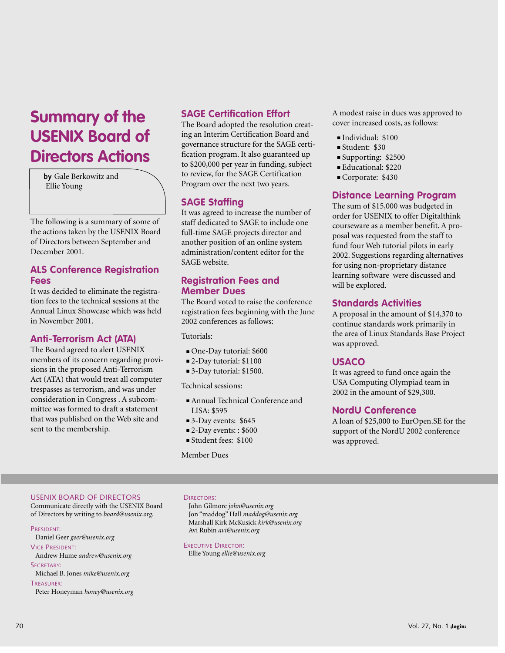# **Summary of the USENIX Board of Directors Actions**

**by** Gale Berkowitz and Ellie Young

The following is a summary of some of the actions taken by the USENIX Board of Directors between September and December 2001.

# **ALS Conference Registration Fees**

It was decided to eliminate the registration fees to the technical sessions at the Annual Linux Showcase which was held in November 2001.

# **Anti-Terrorism Act (ATA)**

The Board agreed to alert USENIX members of its concern regarding provisions in the proposed Anti-Terrorism Act (ATA) that would treat all computer trespasses as terrorism, and was under consideration in Congress . A subcommittee was formed to draft a statement that was published on the Web site and sent to the membership.

# **SAGE Certification Effort**

The Board adopted the resolution creating an Interim Certification Board and governance structure for the SAGE certification program. It also guaranteed up to \$200,000 per year in funding, subject to review, for the SAGE Certification Program over the next two years.

# **SAGE Staffing**

It was agreed to increase the number of staff dedicated to SAGE to include one full-time SAGE projects director and another position of an online system administration/content editor for the SAGE website.

# **Registration Fees and Member Dues**

The Board voted to raise the conference registration fees beginning with the June 2002 conferences as follows:

Tutorials:

- One-Day tutorial: \$600
- 2-Day tutorial: \$1100
- 3-Day tutorial: \$1500.

Technical sessions:

- Annual Technical Conference and LISA: \$595
- 3-Day events: \$645
- 2-Day events:: \$600
- Student fees: \$100

Member Dues

A modest raise in dues was approved to cover increased costs, as follows:

- Individual: \$100
- Student: \$30
- Supporting: \$2500
- Educational: \$220
- Corporate: \$430

# **Distance Learning Program**

The sum of \$15,000 was budgeted in order for USENIX to offer Digitalthink courseware as a member benefit. A proposal was requested from the staff to fund four Web tutorial pilots in early 2002. Suggestions regarding alternatives for using non-proprietary distance learning software were discussed and will be explored.

# **Standards Activities**

A proposal in the amount of \$14,370 to continue standards work primarily in the area of Linux Standards Base Project was approved.

# **USACO**

It was agreed to fund once again the USA Computing Olympiad team in 2002 in the amount of \$29,300.

# **NordU Conference**

A loan of \$25,000 to EurOpen.SE for the support of the NordU 2002 conference was approved.

## USENIX BOARD OF DIRECTORS

Communicate directly with the USENIX Board of Directors by writing to *board@usenix.org*.

## PRESIDENT:

- Daniel Geer *geer@usenix.org*
- VICE PRESIDENT:

Andrew Hume *andrew@usenix.org* SECRETARY:

Michael B. Jones *mike@usenix.org*

TREASURER: Peter Honeyman *honey@usenix.org*

## DIRECTORS:

John Gilmore *john@usenix.org* Jon "maddog" Hall *maddog@usenix.org* Marshall Kirk McKusick *kirk@usenix.org* Avi Rubin *avi@usenix.org*

EXECUTIVE DIRECTOR: Ellie Young *ellie@usenix.org*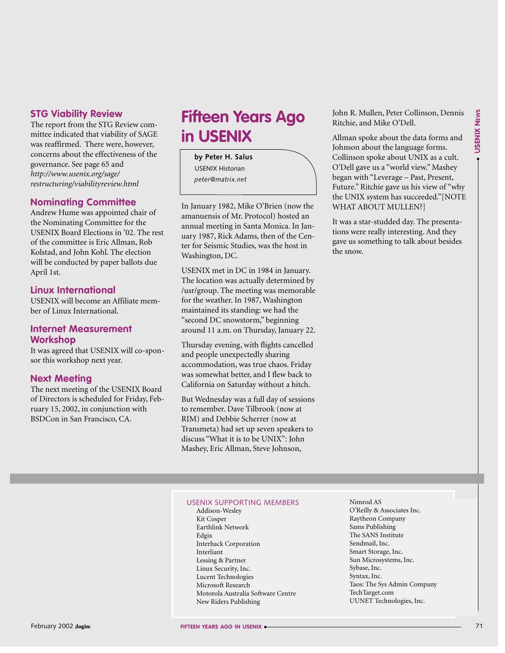# **STG Viability Review**

The report from the STG Review committee indicated that viability of SAGE was reaffirmed. There were, however, concerns about the effectiveness of the governance. See page 65 and *<http://www.usenix.org/sage/> restructuring/viabilityreview.html*

# **Nominating Committee**

Andrew Hume was appointed chair of the Nominating Committee for the USENIX Board Elections in '02. The rest of the committee is Eric Allman, Rob Kolstad, and John Kohl. The election will be conducted by paper ballots due April 1st.

# **Linux International**

USENIX will become an Affiliate member of Linux International.

# **Internet Measurement Workshop**

It was agreed that USENIX will co-sponsor this workshop next year.

# **Next Meeting**

The next meeting of the USENIX Board of Directors is scheduled for Friday, February 15, 2002, in conjunction with BSDCon in San Francisco, CA.

# **Fifteen Years Ago in USENIX**

**by Peter H. Salus** USENIX Historian *peter@matrix.net*

In January 1982, Mike O'Brien (now the amanuensis of Mr. Protocol) hosted an annual meeting in Santa Monica. In January 1987, Rick Adams, then of the Center for Seismic Studies, was the host in Washington, DC.

USENIX met in DC in 1984 in January. The location was actually determined by /usr/group. The meeting was memorable for the weather. In 1987, Washington maintained its standing: we had the "second DC snowstorm," beginning around 11 a.m. on Thursday, January 22.

Thursday evening, with flights cancelled and people unexpectedly sharing accommodation, was true chaos. Friday was somewhat better, and I flew back to California on Saturday without a hitch.

But Wednesday was a full day of sessions to remember. Dave Tilbrook (now at RIM) and Debbie Scherrer (now at Transmeta) had set up seven speakers to discuss "What it is to be UNIX": John Mashey, Eric Allman, Steve Johnson,

John R. Mullen, Peter Collinson, Dennis Ritchie, and Mike O'Dell.

Allman spoke about the data forms and Johnson about the language forms. Collinson spoke about UNIX as a cult. O'Dell gave us a "world view." Mashey began with "Leverage – Past, Present, Future." Ritchie gave us his view of "why the UNIX system has succeeded."[NOTE WHAT ABOUT MULLEN?]

It was a star-studded day. The presentations were really interesting. And they gave us something to talk about besides the snow.

## USENIX SUPPORTING MEMBERS

Addison-Wesley Kit Cosper Earthlink Network Edgix Interhack Corporation Interliant Lessing & Partner Linux Security, Inc. Lucent Technologies Microsoft Research Motorola Australia Software Centre New Riders Publishing

Nimrod AS O'Reilly & Associates Inc. Raytheon Company Sams Publishing The SANS Institute Sendmail, Inc. Smart Storage, Inc. Sun Microsystems, Inc. Sybase, Inc. Syntax, Inc. Taos: The Sys Admin Company TechTarget.com UUNET Technologies, Inc.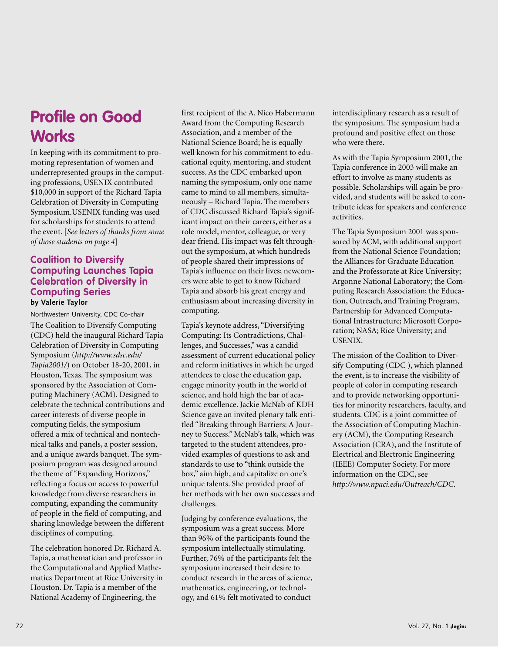# **Profile on Good Works**

In keeping with its commitment to promoting representation of women and underrepresented groups in the computing professions, USENIX contributed \$10,000 in support of the Richard Tapia Celebration of Diversity in Computing Symposium.USENIX funding was used for scholarships for students to attend the event. [*See letters of thanks from some of those students on page 4*]

## **Coalition to Diversify Computing Launches Tapia Celebration of Diversity in Computing Series by Valerie Taylor**

Northwestern University, CDC Co-chair

The Coalition to Diversify Computing (CDC) held the inaugural Richard Tapia Celebration of Diversity in Computing Symposium (*<http://www.sdsc.edu/> Tapia2001/*) on October 18-20, 2001, in Houston, Texas. The symposium was sponsored by the Association of Computing Machinery (ACM). Designed to celebrate the technical contributions and career interests of diverse people in computing fields, the symposium offered a mix of technical and nontechnical talks and panels, a poster session, and a unique awards banquet. The symposium program was designed around the theme of "Expanding Horizons," reflecting a focus on access to powerful knowledge from diverse researchers in computing, expanding the community of people in the field of computing, and sharing knowledge between the different disciplines of computing.

The celebration honored Dr. Richard A. Tapia, a mathematician and professor in the Computational and Applied Mathematics Department at Rice University in Houston. Dr. Tapia is a member of the National Academy of Engineering, the

first recipient of the A. Nico Habermann Award from the Computing Research Association, and a member of the National Science Board; he is equally well known for his commitment to educational equity, mentoring, and student success. As the CDC embarked upon naming the symposium, only one name came to mind to all members, simultaneously – Richard Tapia. The members of CDC discussed Richard Tapia's significant impact on their careers, either as a role model, mentor, colleague, or very dear friend. His impact was felt throughout the symposium, at which hundreds of people shared their impressions of Tapia's influence on their lives; newcomers were able to get to know Richard Tapia and absorb his great energy and enthusiasm about increasing diversity in computing.

Tapia's keynote address, "Diversifying Computing: Its Contradictions, Challenges, and Successes," was a candid assessment of current educational policy and reform initiatives in which he urged attendees to close the education gap, engage minority youth in the world of science, and hold high the bar of academic excellence. Jackie McNab of KDH Science gave an invited plenary talk entitled "Breaking through Barriers: A Journey to Success." McNab's talk, which was targeted to the student attendees, provided examples of questions to ask and standards to use to "think outside the box," aim high, and capitalize on one's unique talents. She provided proof of her methods with her own successes and challenges.

Judging by conference evaluations, the symposium was a great success. More than 96% of the participants found the symposium intellectually stimulating. Further, 76% of the participants felt the symposium increased their desire to conduct research in the areas of science, mathematics, engineering, or technology, and 61% felt motivated to conduct

interdisciplinary research as a result of the symposium. The symposium had a profound and positive effect on those who were there.

As with the Tapia Symposium 2001, the Tapia conference in 2003 will make an effort to involve as many students as possible. Scholarships will again be provided, and students will be asked to contribute ideas for speakers and conference activities.

The Tapia Symposium 2001 was sponsored by ACM, with additional support from the National Science Foundation; the Alliances for Graduate Education and the Professorate at Rice University; Argonne National Laboratory; the Computing Research Association; the Education, Outreach, and Training Program, Partnership for Advanced Computational Infrastructure; Microsoft Corporation; NASA; Rice University; and USENIX.

The mission of the Coalition to Diversify Computing (CDC ), which planned the event, is to increase the visibility of people of color in computing research and to provide networking opportunities for minority researchers, faculty, and students. CDC is a joint committee of the Association of Computing Machinery (ACM), the Computing Research Association (CRA), and the Institute of Electrical and Electronic Engineering (IEEE) Computer Society. For more information on the CDC, see *<http://www.npaci.edu/Outreach/CDC>*.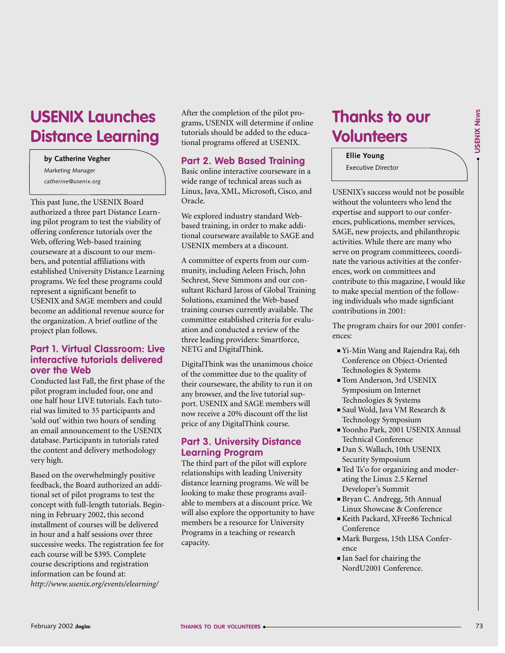● **USENIX** USENIX NEWS

# **Volunteers Ellie Young**

**Thanks to our** 

Executive Director

USENIX's success would not be possible without the volunteers who lend the expertise and support to our conferences, publications, member services, SAGE, new projects, and philanthropic activities. While there are many who serve on program committeees, coordinate the various activities at the conferences, work on committees and contribute to this magazine, I would like to make special mention of the following individuals who made signficiant contributions in 2001:

The program chairs for our 2001 conferences:

- Yi-Min Wang and Rajendra Raj, 6th Conference on Object-Oriented Technologies & Systems
- Tom Anderson, 3rd USENIX Symposium on Internet Technologies & Systems
- Saul Wold, Java VM Research & Technology Symposium
- Yoonho Park, 2001 USENIX Annual Technical Conference
- Dan S. Wallach, 10th USENIX Security Symposium
- Ted Ts'o for organizing and moderating the Linux 2.5 Kernel Developer's Summit
- Bryan C. Andregg, 5th Annual Linux Showcase & Conference
- Keith Packard, XFree86 Technical Conference
- Mark Burgess, 15th LISA Conference
- Jan Sael for chairing the NordU2001 Conference.

# **USENIX Launches Distance Learning**

**by Catherine Vegher**

Marketing Manager *catherine@usenix.org*

This past June, the USENIX Board authorized a three part Distance Learning pilot program to test the viability of offering conference tutorials over the Web, offering Web-based training courseware at a discount to our members, and potential affiliations with established University Distance Learning programs. We feel these programs could represent a significant benefit to USENIX and SAGE members and could become an additional revenue source for the organization. A brief outline of the project plan follows.

# **Part 1. Virtual Classroom: Live interactive tutorials delivered over the Web**

Conducted last Fall, the first phase of the pilot program included four, one and one half hour LIVE tutorials. Each tutorial was limited to 35 participants and 'sold out' within two hours of sending an email announcement to the USENIX database. Participants in tutorials rated the content and delivery methodology very high.

Based on the overwhelmingly positive feedback, the Board authorized an additional set of pilot programs to test the concept with full-length tutorials. Beginning in February 2002, this second installment of courses will be delivered in hour and a half sessions over three successive weeks. The registration fee for each course will be \$395. Complete course descriptions and registration information can be found at: *<http://www.usenix.org/events/elearning/>* 

After the completion of the pilot programs, USENIX will determine if online tutorials should be added to the educational programs offered at USENIX.

# **Part 2. Web Based Training**

Basic online interactive courseware in a wide range of technical areas such as Linux, Java, XML, Microsoft, Cisco, and Oracle.

We explored industry standard Webbased training, in order to make additional courseware available to SAGE and USENIX members at a discount.

A committee of experts from our community, including Aeleen Frisch, John Sechrest, Steve Simmons and our consultant Richard Jaross of Global Training Solutions, examined the Web-based training courses currently available. The committee established criteria for evaluation and conducted a review of the three leading providers: Smartforce, NETG and DigitalThink.

DigitalThink was the unanimous choice of the committee due to the quality of their courseware, the ability to run it on any browser, and the live tutorial support. USENIX and SAGE members will now receive a 20% discount off the list price of any DigitalThink course.

# **Part 3. University Distance Learning Program**

The third part of the pilot will explore relationships with leading University distance learning programs. We will be looking to make these programs available to members at a discount price. We will also explore the opportunity to have members be a resource for University Programs in a teaching or research capacity.